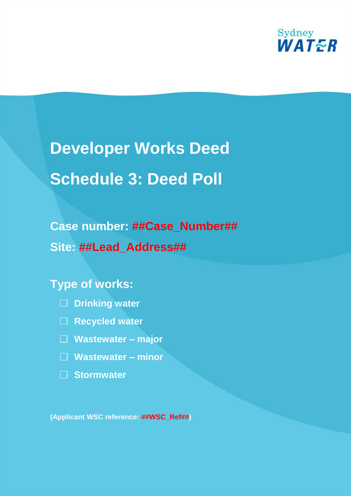

# **Developer Works Deed Schedule 3: Deed Poll**

# **Case number: ##Case\_Number## Site: ##Lead\_Address##**

### **Type of works:**



- **Recycled water**
- **Wastewater – major**
- **Wastewater – minor**
- **Stormwater**

**(Applicant WSC reference: ##WSC\_Ref##)**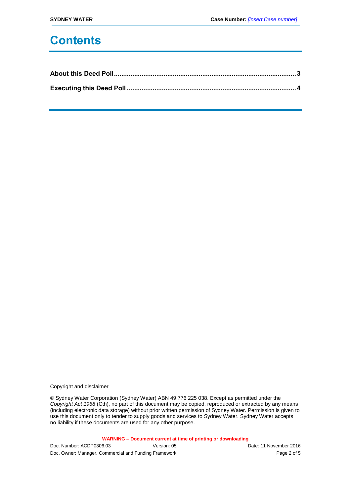# **Contents**

Copyright and disclaimer

© Sydney Water Corporation (Sydney Water) ABN 49 776 225 038. Except as permitted under the *Copyright Act 1968* (Cth), no part of this document may be copied, reproduced or extracted by any means (including electronic data storage) without prior written permission of Sydney Water. Permission is given to use this document only to tender to supply goods and services to Sydney Water. Sydney Water accepts no liability if these documents are used for any other purpose.

**WARNING – Document current at time of printing or downloading**

| Doc. Number: ACDP0306.03                              | Version: 05 | Date: 11 November 2016 |
|-------------------------------------------------------|-------------|------------------------|
| Doc. Owner: Manager, Commercial and Funding Framework |             | Page 2 of 5            |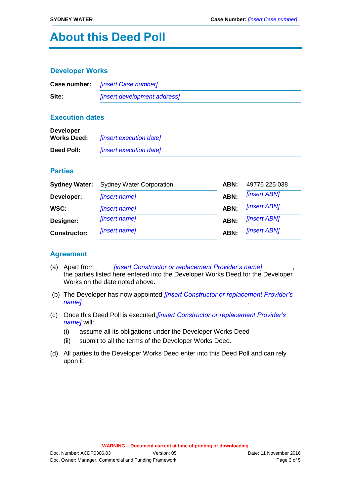# **About this Deed Poll**

#### **Developer Works**

|       | <b>Case number:</b> [insert Case number]   |
|-------|--------------------------------------------|
| Site: | <i><b>[insert development address]</b></i> |

#### **Execution dates**

| <b>Developer</b><br><b>Works Deed:</b> | <i>finsert execution datel</i> |
|----------------------------------------|--------------------------------|
| Deed Poll:                             | <i>finsert execution datel</i> |

#### **Parties**

| <b>Sydney Water:</b> | <b>Sydney Water Corporation</b> | ABN: | 49776 225 038              |
|----------------------|---------------------------------|------|----------------------------|
| Developer:           | [insert name]                   | ABN: | <b><i>[insert ABN]</i></b> |
| WSC:                 | [insert name]                   | ABN: | <b><i>[insert ABN]</i></b> |
| Designer:            | [insert name]                   | ABN: | <b>[insert ABN]</b>        |
| <b>Constructor:</b>  | [insert name]                   | ABN: | <b><i>[insert ABN]</i></b> |

#### **Agreement**

- (a) Apart from *[insert Constructor or replacement Provider's name]* , the parties listed here entered into the Developer Works Deed for the Developer Works on the date noted above.
- (b) The Developer has now appointed *[insert Constructor or replacement Provider's name]* .
- (c) Once this Deed Poll is executed,*[insert Constructor or replacement Provider's name]* will:
	- (i) assume all its obligations under the Developer Works Deed
	- (ii) submit to all the terms of the Developer Works Deed.
- (d) All parties to the Developer Works Deed enter into this Deed Poll and can rely upon it.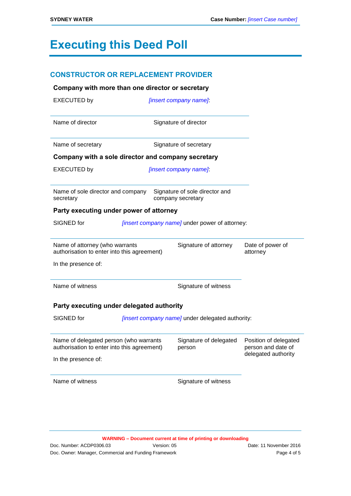# **Executing this Deed Poll**

| <b>CONSTRUCTOR OR REPLACEMENT PROVIDER</b>                                            |                                                     |                                             |
|---------------------------------------------------------------------------------------|-----------------------------------------------------|---------------------------------------------|
| Company with more than one director or secretary                                      |                                                     |                                             |
| <b>EXECUTED by</b>                                                                    | [insert company name]                               |                                             |
| Name of director                                                                      | Signature of director                               |                                             |
| Name of secretary                                                                     | Signature of secretary                              |                                             |
| Company with a sole director and company secretary                                    |                                                     |                                             |
| <b>EXECUTED by</b>                                                                    | [insert company name]                               |                                             |
| Name of sole director and company<br>secretary                                        | Signature of sole director and<br>company secretary |                                             |
| Party executing under power of attorney                                               |                                                     |                                             |
| SIGNED for                                                                            | [insert company name] under power of attorney:      |                                             |
| Name of attorney (who warrants<br>authorisation to enter into this agreement)         | Signature of attorney                               | Date of power of<br>attorney                |
| In the presence of:                                                                   |                                                     |                                             |
| Name of witness                                                                       | Signature of witness                                |                                             |
| Party executing under delegated authority                                             |                                                     |                                             |
| SIGNED for                                                                            | [insert company name] under delegated authority:    |                                             |
| Name of delegated person (who warrants<br>authorisation to enter into this agreement) | Signature of delegated<br>person                    | Position of delegated<br>person and date of |
| In the presence of:                                                                   |                                                     | delegated authority                         |
| Name of witness                                                                       | Signature of witness                                |                                             |
|                                                                                       |                                                     |                                             |

**WARNING – Document current at time of printing or downloading**